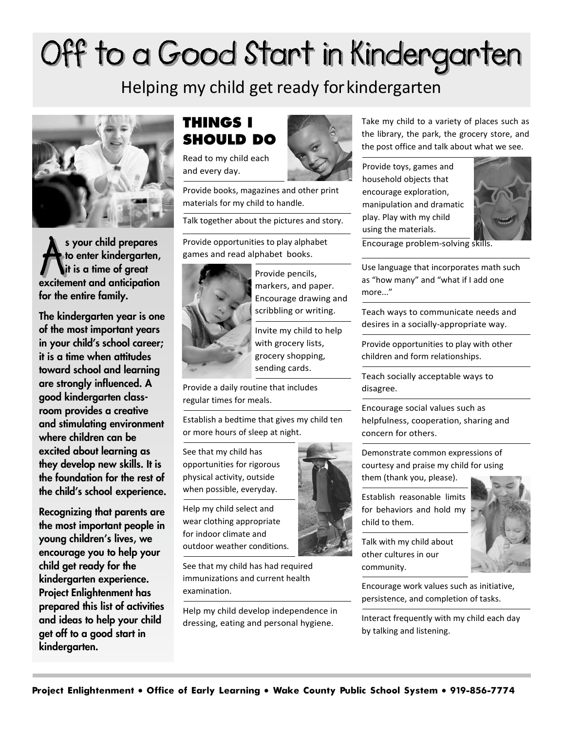# Off to a Good Start in Kindergarten

Helping my child get ready forkindergarten



s your child prepares to enter kindergarten, it is a time of great excitement and anticipation for the entire family.

The kindergarten year is one of the most important years in your child's school career; it is a time when attitudes toward school and learning are strongly influenced. A good kindergarten classroom provides a creative and stimulating environment where children can be excited about learning as they develop new skills. It is the foundation for the rest of the child's school experience.

Recognizing that parents are the most important people in young children's lives, we encourage you to help your child get ready for the kindergarten experience. Project Enlightenment has prepared this list of activities and ideas to help your child get off to a good start in kindergarten.

### **THINGS I SHOULD DO**

Read to my child each and every day.

Provide books, magazines and other print materials for my child to handle.

Talk together about the pictures and story.

Provide opportunities to play alphabet games and read alphabet books.



Provide pencils, markers, and paper. Encourage drawing and scribbling or writing.

Invite my child to help with grocery lists, grocery shopping, sending cards.

Provide a daily routine that includes regular times for meals.

Establish a bedtime that gives my child ten or more hours of sleep at night.

See that my child has opportunities for rigorous physical activity, outside when possible, everyday.

Help my child select and wear clothing appropriate for indoor climate and outdoor weather conditions.

See that my child has had required immunizations and current health examination.

Help my child develop independence in dressing, eating and personal hygiene.



Take my child to a variety of places such as the library, the park, the grocery store, and the post office and talk about what we see.

Provide toys, games and household objects that encourage exploration, manipulation and dramatic play. Play with my child using the materials.



Encourage problem-solving skill

Use language that incorporates math such as "how many" and "what if I add one more..."

Teach ways to communicate needs and desires in a socially-appropriate way.

Provide opportunities to play with other children and form relationships.

Teach socially acceptable ways to disagree.

Encourage social values such as helpfulness, cooperation, sharing and concern for others.

Demonstrate common expressions of courtesy and praise my child for using them (thank you, please).

Establish reasonable limits for behaviors and hold my child to them.

Talk with my child about other cultures in our community.

Encourage work values such as initiative, persistence, and completion of tasks.

Interact frequently with my child each day by talking and listening.